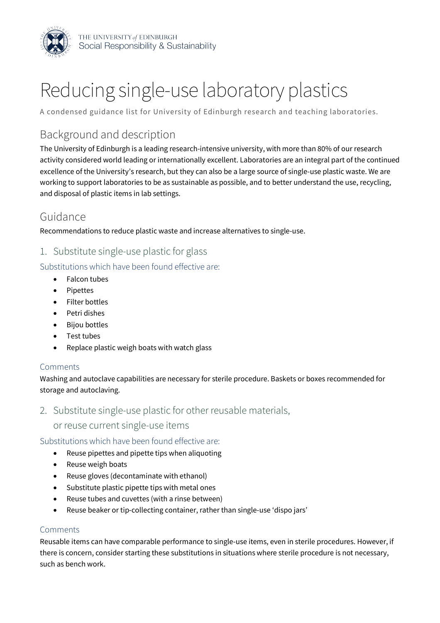

# Reducing single-use laboratory plastics

A condensed guidance list for University of Edinburgh research and teaching laboratories.

## Background and description

 $\ddot{\phantom{a}}$ The University of Edinburgh is a leading research-intensive university, with more than 80% of our research activity considered world leading or internationally excellent. Laboratories are an integral part of the continued excellence of the University's research, but they can also be a large source of single-use plastic waste. We are working to support laboratories to be as sustainable as possible, and to better understand the use, recycling, and disposal of plastic items in lab settings.

## Guidance

Recommendations to reduce plastic waste and increase alternatives to single-use.

1. Substitute single-use plastic for glass

Substitutions which have been found effective are:

- Falcon tubes
- Pipettes
- Filter bottles
- Petri dishes
- Bijou bottles
- Test tubes
- Replace plastic weigh boats with watch glass

#### Comments

Washing and autoclave capabilities are necessary for sterile procedure. Baskets or boxes recommended for storage and autoclaving.

2. Substitute single-use plastic for other reusable materials,

or reuse current single-use items

Substitutions which have been found effective are:

- Reuse pipettes and pipette tips when aliquoting
- Reuse weigh boats
- Reuse gloves (decontaminate with ethanol)
- Substitute plastic pipette tips with metal ones
- • Reuse tubes and cuvettes (with a rinse between)
- Reuse beaker or tip-collecting container, rather than single-use 'dispo jars'

#### Comments

Reusable items can have comparable performance to single-use items, even in sterile procedures. However, if there is concern, consider starting these substitutions in situations where sterile procedure is not necessary, such as bench work.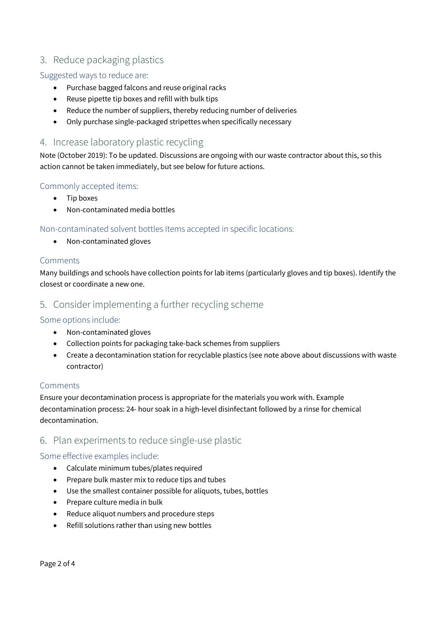### 3. Reduce packaging plastics

#### Suggested ways to reduce are:

- Purchase bagged falcons and reuse original racks
- Reuse pipette tip boxes and refill with bulk tips
- Reduce the number of suppliers, thereby reducing number of deliveries
- Only purchase single-packaged stripettes when specifically necessary

#### 4. Increase laboratory plastic recycling

Note (October 2019): To be updated. Discussions are ongoing with our waste contractor about this, so this action cannot be taken immediately, but see below for future actions.

#### Commonly accepted items:

- Tip boxes
- Non-contaminated media bottles

#### Non-contaminated solvent bottles Items accepted in specific locations:

• Non-contaminated gloves

#### **Comments**

Many buildings and schools have collection points for lab items (particularly gloves and tip boxes). Identify the closest or coordinate a new one.

#### 5. Consider implementing a further recycling scheme

#### Some options include:

- Non-contaminated gloves
- Collection points for packaging take-back schemes from suppliers
- Create a decontamination station for recyclable plastics (see note above about discussions with waste contractor)

#### **Comments**

Ensure your decontamination process is appropriate for the materials you work with. Example decontamination process: 24- hour soak in a high-level disinfectant followed by a rinse for chemical decontamination.

#### 6. Plan experiments to reduce single-use plastic

#### Some effective examples include:

- Calculate minimum tubes/plates required
- Prepare bulk master mix to reduce tips and tubes
- Use the smallest container possible for aliquots, tubes, bottles
- Prepare culture media in bulk
- Reduce aliquot numbers and procedure steps
- Refill solutions rather than using new bottles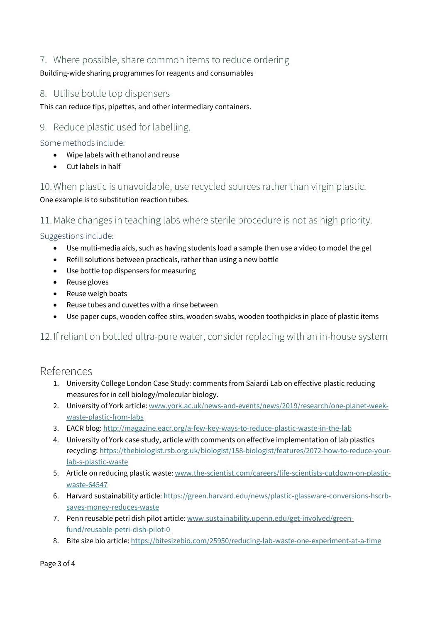#### 7. Where possible, share common items to reduce ordering

Building-wide sharing programmes for reagents and consumables

#### 8. Utilise bottle top dispensers

This can reduce tips, pipettes, and other intermediary containers.

#### 9. Reduce plastic used for labelling.

Some methods include:

- Wipe labels with ethanol and reuse
- Cut labels in half

10. When plastic is unavoidable, use recycled sources rather than virgin plastic. One example is to substitution reaction tubes.

11. Make changes in teaching labs where sterile procedure is not as high priority.

#### Suggestions include:

- Use multi-media aids, such as having students load a sample then use a video to model the gel
- Refill solutions between practicals, rather than using a new bottle
- Use bottle top dispensers for measuring
- Reuse gloves
- Reuse weigh boats
- Reuse tubes and cuvettes with a rinse between
- Use paper cups, wooden coffee stirs, wooden swabs, wooden toothpicks in place of plastic items

#### $\ddot{\phantom{a}}$ 12. If reliant on bottled ultra-pure water, consider replacing with an in-house system

#### References

- 1. University College London Case Study: comments from Saiardi Lab on effective plastic reducing measures for in cell biology/molecular biology.
- 2. University of York article:<www.york.ac.uk/news-and-events/news/2019/research/one-planet-week>waste-plastic-from-labs
- 3. EACR blog: <http://magazine.eacr.org/a-few-key-ways-to-reduce-plastic-waste-in-the-lab>
- 4. University of York case study, article with comments on effective implementation of lab plastics recycling: <https://thebiologist.rsb.org.uk/biologist/158-biologist/features/2072-how-to-reduce-your>lab-s-plastic-waste
- 5. Article on reducing plastic waste: <www.the-scientist.com/careers/life-scientists-cutdown-on-plastic>waste-64547
- 6. Harvard sustainability article:<https://green.harvard.edu/news/plastic-glassware-conversions-hscrb>saves-money-reduces-waste
- 7. Penn reusable petri dish pilot article:<www.sustainability.upenn.edu/get-involved/green>fund/reusable-petri-dish-pilot-0
- 8. Bite size bio article: https://bitesizebio.com/25950/reducing-lab-waste-one-experiment-at-a-time

Page 3 of 4